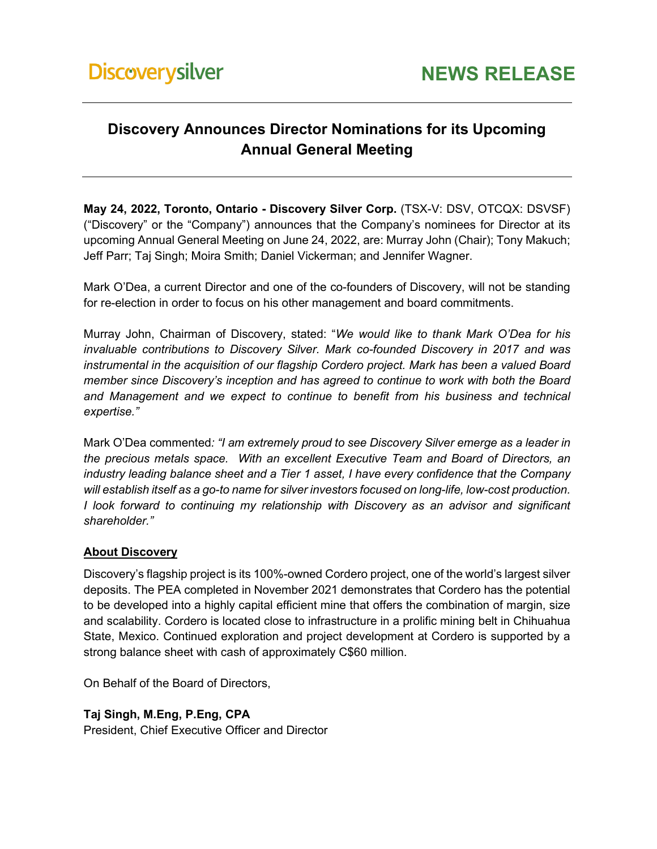## **Discovery Announces Director Nominations for its Upcoming Annual General Meeting**

**May 24, 2022, Toronto, Ontario - Discovery Silver Corp.** (TSX-V: DSV, OTCQX: DSVSF) ("Discovery" or the "Company") announces that the Company's nominees for Director at its upcoming Annual General Meeting on June 24, 2022, are: Murray John (Chair); Tony Makuch; Jeff Parr; Taj Singh; Moira Smith; Daniel Vickerman; and Jennifer Wagner.

Mark O'Dea, a current Director and one of the co-founders of Discovery, will not be standing for re-election in order to focus on his other management and board commitments.

Murray John, Chairman of Discovery, stated: "*We would like to thank Mark O'Dea for his invaluable contributions to Discovery Silver. Mark co-founded Discovery in 2017 and was instrumental in the acquisition of our flagship Cordero project. Mark has been a valued Board member since Discovery's inception and has agreed to continue to work with both the Board and Management and we expect to continue to benefit from his business and technical expertise."*

Mark O'Dea commented*: "I am extremely proud to see Discovery Silver emerge as a leader in the precious metals space. With an excellent Executive Team and Board of Directors, an industry leading balance sheet and a Tier 1 asset, I have every confidence that the Company will establish itself as a go-to name for silver investors focused on long-life, low-cost production. I look forward to continuing my relationship with Discovery as an advisor and significant shareholder."* 

## **About Discovery**

Discovery's flagship project is its 100%-owned Cordero project, one of the world's largest silver deposits. The PEA completed in November 2021 demonstrates that Cordero has the potential to be developed into a highly capital efficient mine that offers the combination of margin, size and scalability. Cordero is located close to infrastructure in a prolific mining belt in Chihuahua State, Mexico. Continued exploration and project development at Cordero is supported by a strong balance sheet with cash of approximately C\$60 million.

On Behalf of the Board of Directors,

**Taj Singh, M.Eng, P.Eng, CPA** 

President, Chief Executive Officer and Director